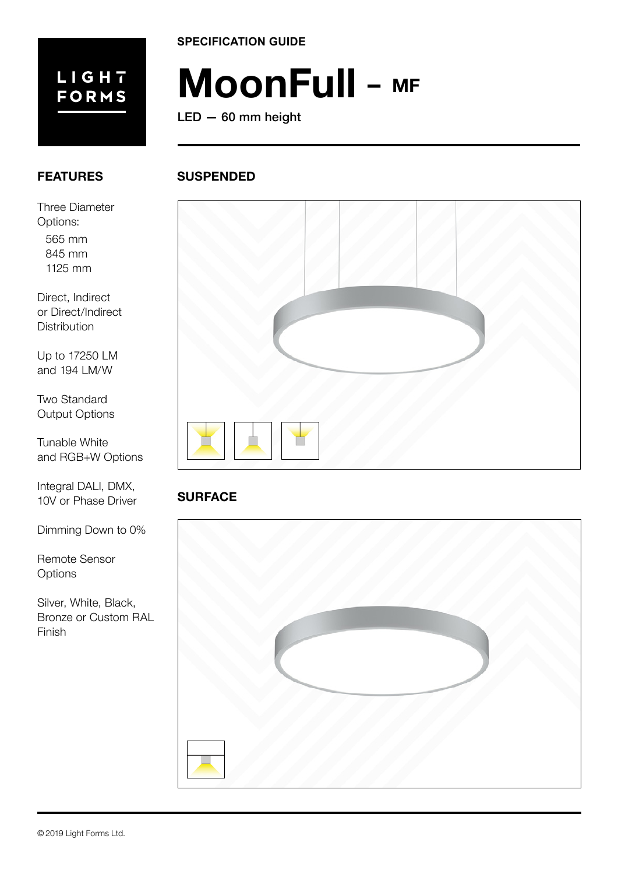

**SPECIFICATION GUIDE**

# **MoonFull – MF**

LED — 60 mm height

# **FEATURES**

Three Diameter Options:

565 mm 845 mm 1125 mm

Direct, Indirect or Direct/Indirect **Distribution** 

Up to 17250 LM and 194 LM/W

Two Standard Output Options

Tunable White and RGB+W Options

Integral DALI, DMX, 10V or Phase Driver

Dimming Down to 0%

Remote Sensor **Options** 

Silver, White, Black, Bronze or Custom RAL Finish

# **SUSPENDED**



# **SURFACE**

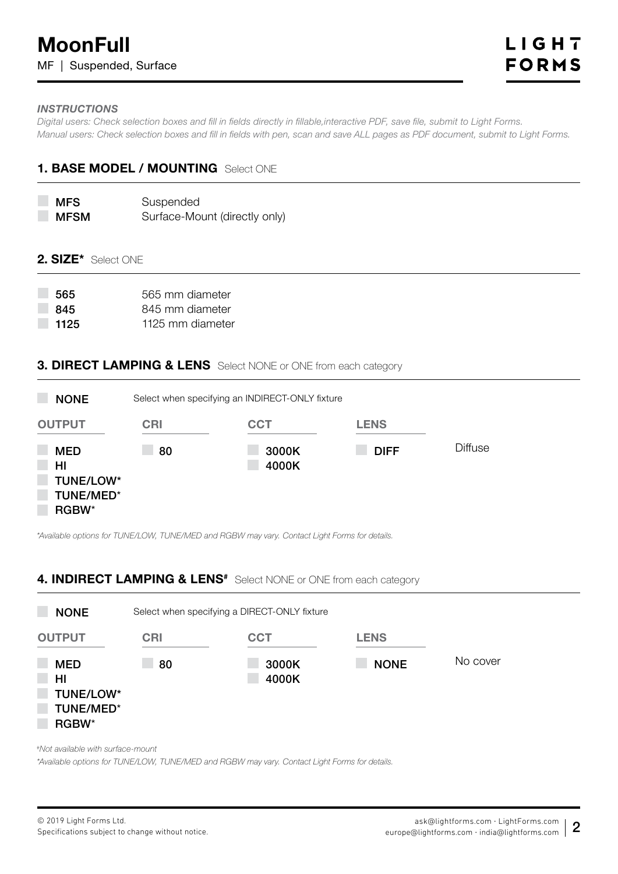#### *INSTRUCTIONS*

*Digital users: Check selection boxes and fill in fields directly in fillable,interactive PDF, save file, submit to Light Forms. Manual users: Check selection boxes and fill in fields with pen, scan and save ALL pages as PDF document, submit to Light Forms.*

## **1. BASE MODEL / MOUNTING** Select ONE

**MFS** MFSM Suspended Surface-Mount (directly only)

#### **2. SIZE\*** Select ONE

| 565  | 565 mm diameter  |
|------|------------------|
| -845 | 845 mm diameter  |
| 1125 | 1125 mm diameter |

## **3. DIRECT LAMPING & LENS** Select NONE or ONE from each category

| <b>NONE</b>                                         | Select when specifying an INDIRECT-ONLY fixture |                |             |                |  |  |
|-----------------------------------------------------|-------------------------------------------------|----------------|-------------|----------------|--|--|
| <b>OUTPUT</b>                                       | <b>CRI</b>                                      | <b>CCT</b>     | <b>LENS</b> |                |  |  |
| <b>MED</b><br>HI<br>TUNE/LOW*<br>TUNE/MED*<br>RGBW* | 80                                              | 3000K<br>4000K | <b>DIFF</b> | <b>Diffuse</b> |  |  |

*\*Available options for TUNE/LOW, TUNE/MED and RGBW may vary. Contact Light Forms for details.*

## **4. INDIRECT LAMPING & LENS<sup>#</sup>** Select NONE or ONE from each category



*#Not available with surface-mount* 

*\*Available options for TUNE/LOW, TUNE/MED and RGBW may vary. Contact Light Forms for details.*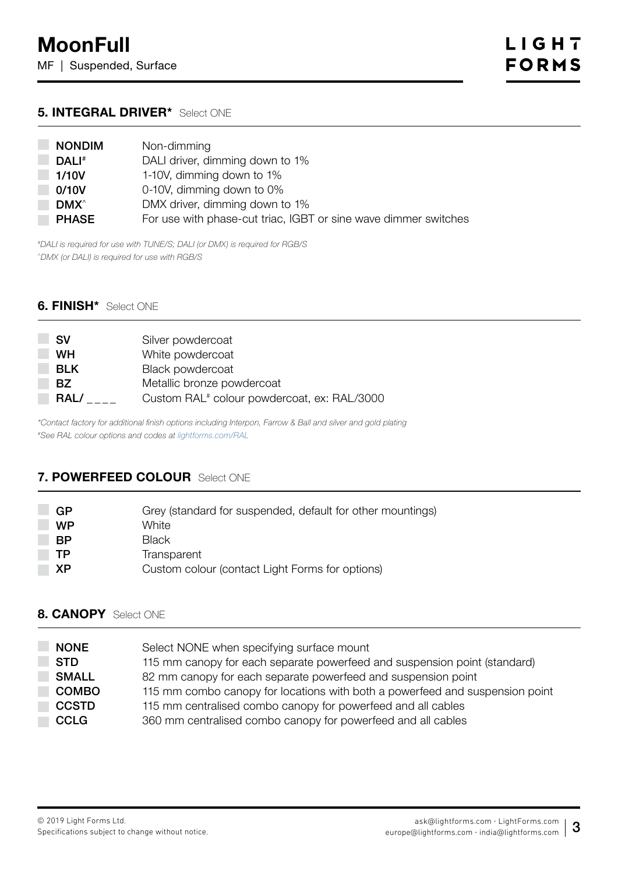#### **5. INTEGRAL DRIVER\*** Select ONE

| <b>NONDIM</b>    | Non-dimming                                                     |
|------------------|-----------------------------------------------------------------|
| DALI#            | DALI driver, dimming down to 1%                                 |
| 1/10V            | 1-10V, dimming down to 1%                                       |
| 0/10V            | 0-10V, dimming down to 0%                                       |
| DMX <sup>^</sup> | DMX driver, dimming down to 1%                                  |
| <b>PHASE</b>     | For use with phase-cut triac, IGBT or sine wave dimmer switches |

*#DALI is required for use with TUNE/S; DALI (or DMX) is required for RGB/S ^DMX (or DALI) is required for use with RGB/S*

#### **6. FINISH\*** Select ONE

| <b>SV</b>  | Silver powdercoat                                       |
|------------|---------------------------------------------------------|
| <b>WH</b>  | White powdercoat                                        |
| <b>BLK</b> | Black powdercoat                                        |
| BZ.        | Metallic bronze powdercoat                              |
| RAL/       | Custom RAL <sup>#</sup> colour powdercoat, ex: RAL/3000 |

*\*Contact factory for additional finish options including Interpon, Farrow & Ball and silver and gold plating #See RAL colour options and codes at [lightforms.com/RAL](https://lightforms.com/RAL)*

# **7. POWERFEED COLOUR** Select ONE

| GP        | Grey (standard for suspended, default for other mountings) |
|-----------|------------------------------------------------------------|
| <b>WP</b> | White                                                      |
| <b>BP</b> | Black                                                      |
| ТP        | Transparent                                                |
| ΧP        | Custom colour (contact Light Forms for options)            |

# **8. CANOPY** Select ONE

| <b>NONE</b>  | Select NONE when specifying surface mount                                    |
|--------------|------------------------------------------------------------------------------|
| <b>STD</b>   | 115 mm canopy for each separate powerfeed and suspension point (standard)    |
| <b>SMALL</b> | 82 mm canopy for each separate powerfeed and suspension point                |
| <b>COMBO</b> | 115 mm combo canopy for locations with both a powerfeed and suspension point |
| <b>CCSTD</b> | 115 mm centralised combo canopy for powerfeed and all cables                 |
| <b>CCLG</b>  | 360 mm centralised combo canopy for powerfeed and all cables                 |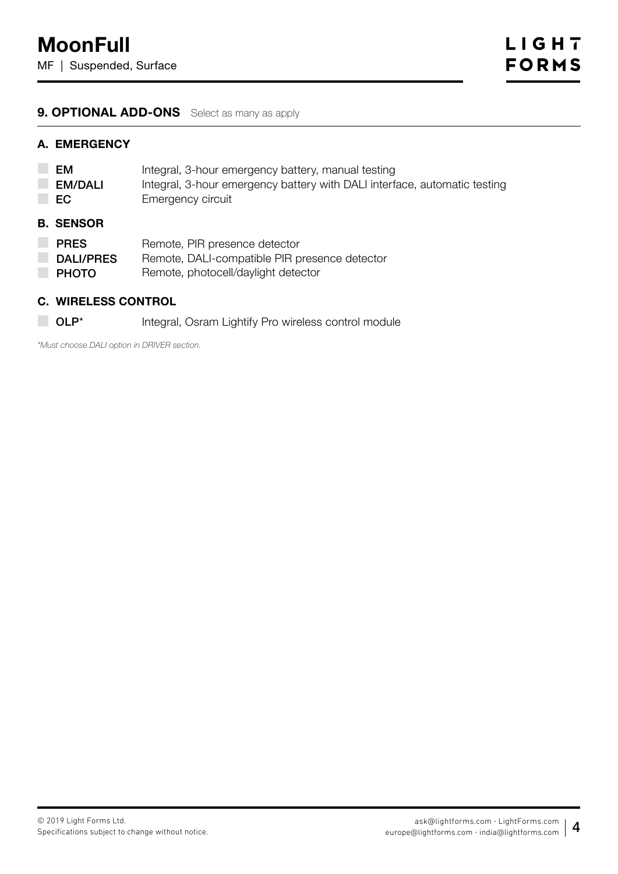## **9. OPTIONAL ADD-ONS** Select as many as apply

#### **A. EMERGENCY**

| EM<br><b>EM/DALI</b><br>EC | Integral, 3-hour emergency battery, manual testing<br>Integral, 3-hour emergency battery with DALI interface, automatic testing<br>Emergency circuit |
|----------------------------|------------------------------------------------------------------------------------------------------------------------------------------------------|
| <b>B. SENSOR</b>           |                                                                                                                                                      |
| <b>PRES</b>                | Remote, PIR presence detector                                                                                                                        |
| <b>DALI/PRES</b>           | Remote, DALI-compatible PIR presence detector                                                                                                        |
| <b>PHOTO</b>               | Remote, photocell/daylight detector                                                                                                                  |

#### **C. WIRELESS CONTROL**

**OLP\*** Integral, Osram Lightify Pro wireless control module

*\*Must choose DALI option in DRIVER section.*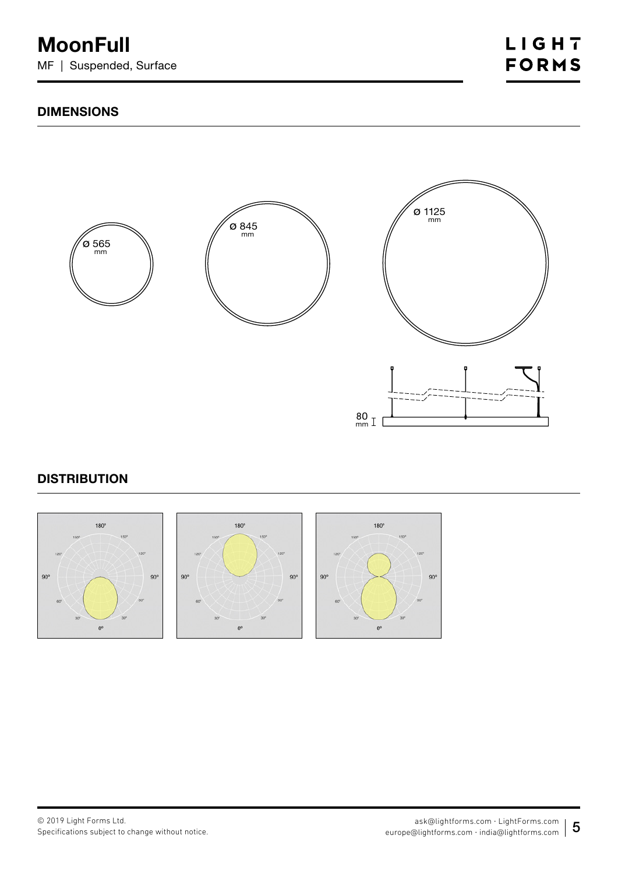# **DIMENSIONS**



# **DISTRIBUTION**

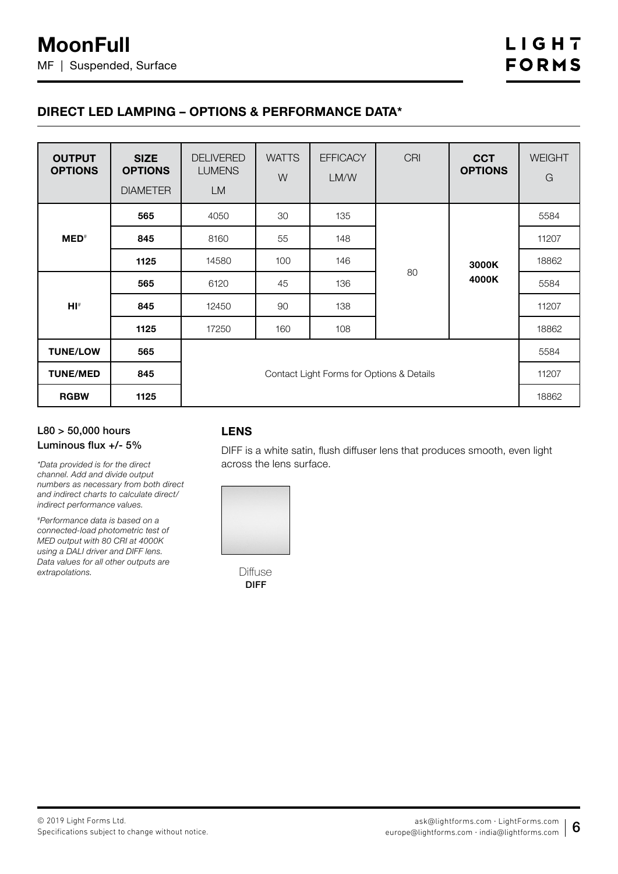# **DIRECT LED LAMPING – OPTIONS & PERFORMANCE DATA\***

| <b>OUTPUT</b><br><b>OPTIONS</b> | <b>SIZE</b><br><b>OPTIONS</b><br><b>DIAMETER</b> | <b>DELIVERED</b><br><b>LUMENS</b><br><b>LM</b> | <b>WATTS</b><br>W | <b>EFFICACY</b><br>LM/W | <b>CRI</b> | <b>CCT</b><br><b>OPTIONS</b> | <b>WEIGHT</b><br>G |
|---------------------------------|--------------------------------------------------|------------------------------------------------|-------------------|-------------------------|------------|------------------------------|--------------------|
|                                 | 565                                              | 4050                                           | 30                | 135                     |            |                              | 5584               |
| $MED^*$                         | 845                                              | 8160                                           | 55                | 148                     |            | 3000K                        | 11207              |
|                                 | 1125                                             | 14580                                          | 100               | 146                     |            |                              | 18862              |
|                                 | 565                                              | 6120                                           | 45                | 136                     | 80         | 4000K                        | 5584               |
| $H I^*$                         | 845                                              | 12450                                          | 90                | 138                     |            |                              | 11207              |
|                                 | 1125                                             | 17250                                          | 160               | 108                     |            |                              | 18862              |
| <b>TUNE/LOW</b>                 | 565                                              |                                                |                   |                         |            |                              | 5584               |
| <b>TUNE/MED</b>                 | 845                                              | Contact Light Forms for Options & Details      |                   |                         |            | 11207                        |                    |
| <b>RGBW</b>                     | 1125                                             |                                                |                   |                         |            | 18862                        |                    |

#### L80 > 50,000 hours Luminous flux +/- 5%

*\*Data provided is for the direct channel. Add and divide output numbers as necessary from both direct and indirect charts to calculate direct/ indirect performance values.*

*#Performance data is based on a connected-load photometric test of MED output with 80 CRI at 4000K using a DALI driver and DIFF lens. Data values for all other outputs are extrapolations.*

# **LENS**

DIFF is a white satin, flush diffuser lens that produces smooth, even light across the lens surface.



**Diffuse** DIFF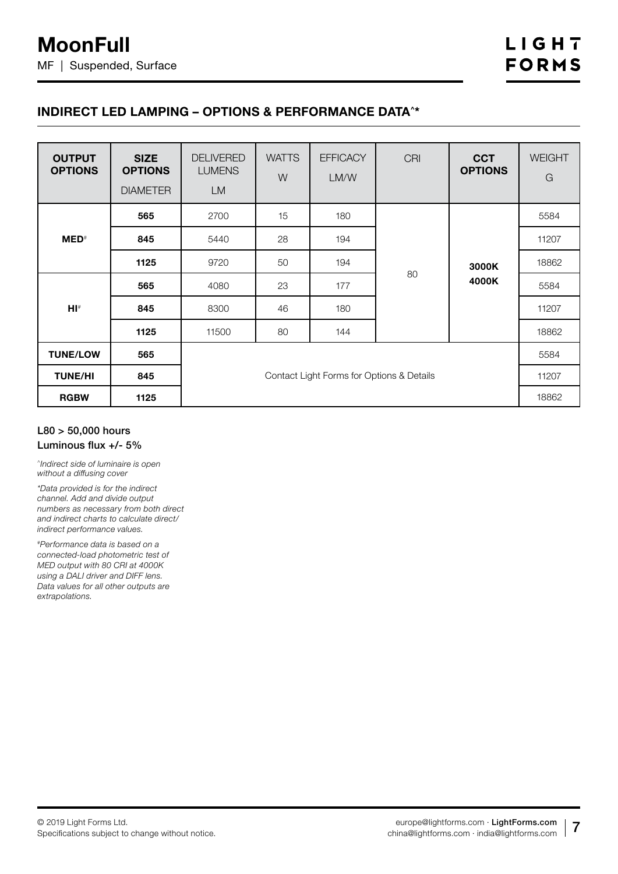## **INDIRECT LED LAMPING – OPTIONS & PERFORMANCE DATA^\***

| <b>OUTPUT</b><br><b>OPTIONS</b> | <b>SIZE</b><br><b>OPTIONS</b><br><b>DIAMETER</b> | <b>DELIVERED</b><br><b>LUMENS</b><br><b>LM</b> | <b>WATTS</b><br>W | <b>EFFICACY</b><br>LM/W | <b>CRI</b> | <b>CCT</b><br><b>OPTIONS</b> | <b>WEIGHT</b><br>G |
|---------------------------------|--------------------------------------------------|------------------------------------------------|-------------------|-------------------------|------------|------------------------------|--------------------|
|                                 | 565                                              | 2700                                           | 15                | 180                     |            |                              | 5584               |
| $MED^*$                         | 845                                              | 5440                                           | 28                | 194                     | 80         | 3000K                        | 11207              |
|                                 | 1125                                             | 9720                                           | 50                | 194                     |            |                              | 18862              |
|                                 | 565                                              | 4080                                           | 23                | 177                     |            | 4000K                        | 5584               |
| $H I^*$                         | 845                                              | 8300                                           | 46                | 180                     |            |                              | 11207              |
|                                 | 1125                                             | 11500                                          | 80                | 144                     |            |                              | 18862              |
| <b>TUNE/LOW</b>                 | 565                                              |                                                |                   |                         |            |                              | 5584               |
| <b>TUNE/HI</b>                  | 845                                              | Contact Light Forms for Options & Details      |                   |                         |            | 11207                        |                    |
| <b>RGBW</b>                     | 1125                                             |                                                |                   |                         |            | 18862                        |                    |

#### L80 > 50,000 hours Luminous flux +/- 5%

*^Indirect side of luminaire is open without a diffusing cover*

*\*Data provided is for the indirect channel. Add and divide output numbers as necessary from both direct and indirect charts to calculate direct/ indirect performance values.*

*#Performance data is based on a connected-load photometric test of MED output with 80 CRI at 4000K using a DALI driver and DIFF lens. Data values for all other outputs are extrapolations.*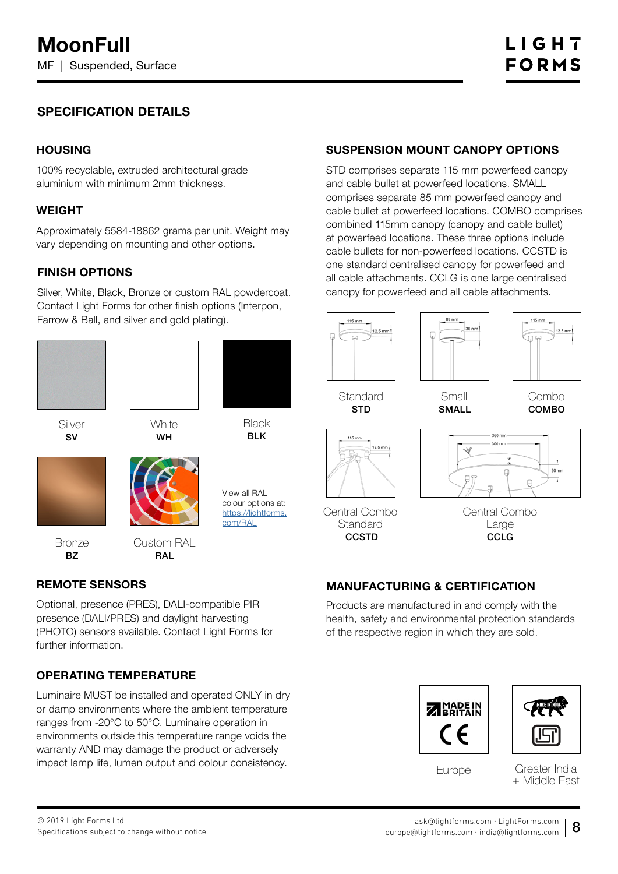# **SPECIFICATION DETAILS**

## **HOUSING**

100% recyclable, extruded architectural grade aluminium with minimum 2mm thickness.

#### **WEIGHT**

Approximately 5584-18862 grams per unit. Weight may vary depending on mounting and other options.

#### **FINISH OPTIONS**

Silver, White, Black, Bronze or custom RAL powdercoat. Contact Light Forms for other finish options (Interpon, Farrow & Ball, and silver and gold plating).





**White** WH

Silver SV



View all RAL colour options at: https://lightforms. com/RAL

**Bronze** BZ

Custom RAL



## **REMOTE SENSORS**

Optional, presence (PRES), DALI-compatible PIR presence (DALI/PRES) and daylight harvesting (PHOTO) sensors available. Contact Light Forms for further information.

## **OPERATING TEMPERATURE**

Luminaire MUST be installed and operated ONLY in dry or damp environments where the ambient temperature ranges from -20°C to 50°C. Luminaire operation in environments outside this temperature range voids the warranty AND may damage the product or adversely impact lamp life, lumen output and colour consistency.

# **SUSPENSION MOUNT CANOPY OPTIONS**

STD comprises separate 115 mm powerfeed canopy and cable bullet at powerfeed locations. SMALL comprises separate 85 mm powerfeed canopy and cable bullet at powerfeed locations. COMBO comprises combined 115mm canopy (canopy and cable bullet) at powerfeed locations. These three options include cable bullets for non-powerfeed locations. CCSTD is one standard centralised canopy for powerfeed and all cable attachments. CCLG is one large centralised canopy for powerfeed and all cable attachments.





Central Combo Large

**CCLG** 

# **MANUFACTURING & CERTIFICATION**

Products are manufactured in and comply with the health, safety and environmental protection standards of the respective region in which they are sold.





Europe

Greater India + Middle East